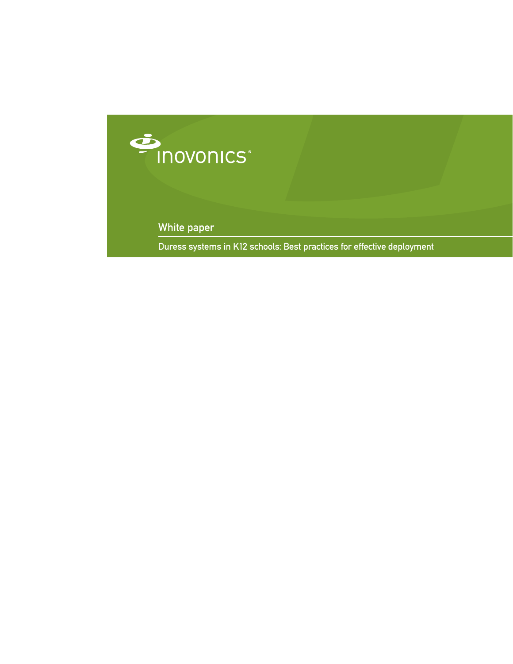

White paper

Duress systems in K12 schools: Best practices for effective deployment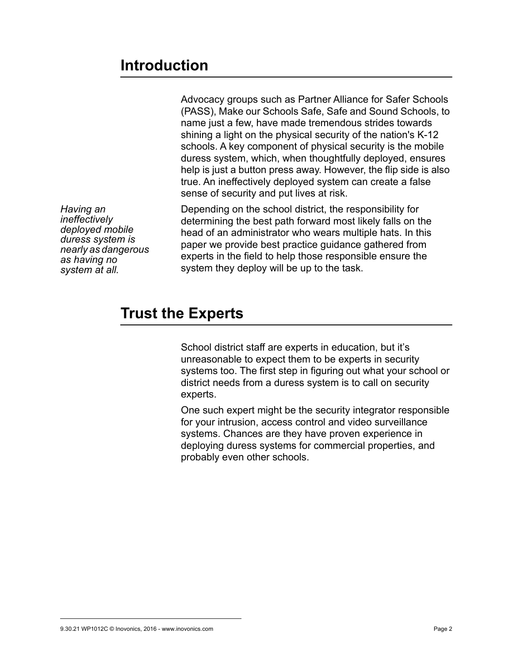## **Introduction**

Advocacy groups such as Partner Alliance for Safer Schools (PASS), Make our Schools Safe, Safe and Sound Schools, to name just a few, have made tremendous strides towards shining a light on the physical security of the nation's K-12 schools. A key component of physical security is the mobile duress system, which, when thoughtfully deployed, ensures help is just a button press away. However, the flip side is also true. An ineffectively deployed system can create a false sense of security and put lives at risk.

*Having an ineffectively deployed mobile duress system is nearly as dangerous as having no system at all.*

Depending on the school district, the responsibility for determining the best path forward most likely falls on the head of an administrator who wears multiple hats. In this paper we provide best practice guidance gathered from experts in the field to help those responsible ensure the system they deploy will be up to the task.

# **Trust the Experts**

School district staff are experts in education, but it's unreasonable to expect them to be experts in security systems too. The first step in figuring out what your school or district needs from a duress system is to call on security experts.

One such expert might be the security integrator responsible for your intrusion, access control and video surveillance systems. Chances are they have proven experience in deploying duress systems for commercial properties, and probably even other schools.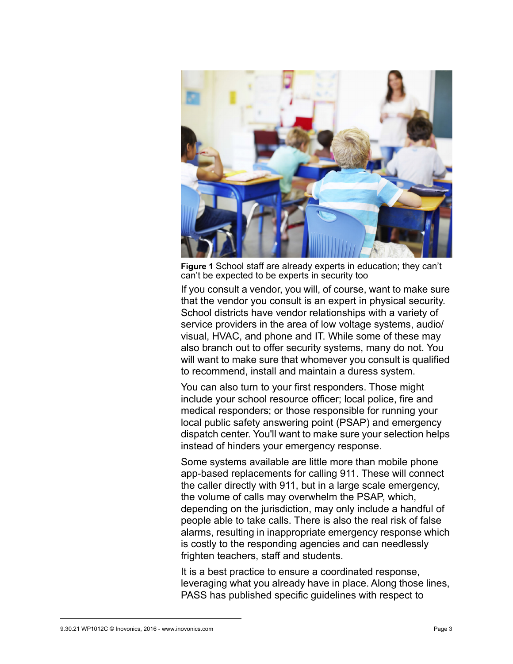

**Figure 1** School staff are already experts in education; they can't can't be expected to be experts in security too

If you consult a vendor, you will, of course, want to make sure that the vendor you consult is an expert in physical security. School districts have vendor relationships with a variety of service providers in the area of low voltage systems, audio/ visual, HVAC, and phone and IT. While some of these may also branch out to offer security systems, many do not. You will want to make sure that whomever you consult is qualified to recommend, install and maintain a duress system.

You can also turn to your first responders. Those might include your school resource officer; local police, fire and medical responders; or those responsible for running your local public safety answering point (PSAP) and emergency dispatch center. You'll want to make sure your selection helps instead of hinders your emergency response.

Some systems available are little more than mobile phone app-based replacements for calling 911. These will connect the caller directly with 911, but in a large scale emergency, the volume of calls may overwhelm the PSAP, which, depending on the jurisdiction, may only include a handful of people able to take calls. There is also the real risk of false alarms, resulting in inappropriate emergency response which is costly to the responding agencies and can needlessly frighten teachers, staff and students.

It is a best practice to ensure a coordinated response, leveraging what you already have in place. Along those lines, PASS has published specific guidelines with respect to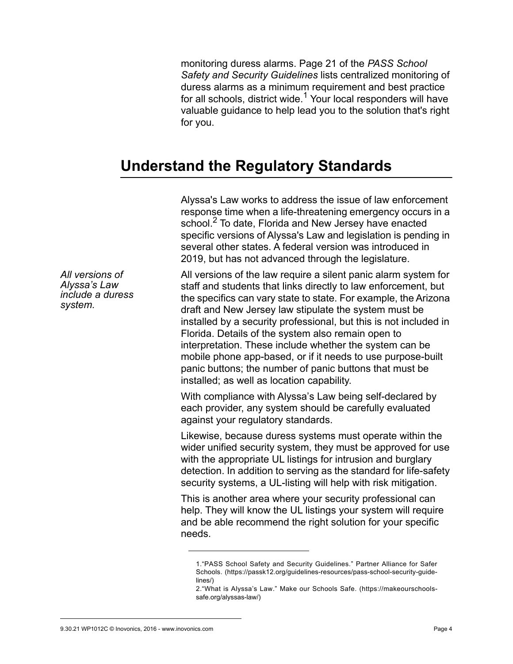monitoring duress alarms. Page 21 of the *PASS School Safety and Security Guidelines* lists centralized monitoring of duress alarms as a minimum requirement and best practice for all schools, district wide.<sup>1</sup> Your local responders will have valuable guidance to help lead you to the solution that's right for you.

### **Understand the Regulatory Standards**

Alyssa's Law works to address the issue of law enforcement response time when a life-threatening emergency occurs in a school.<sup>2</sup> To date, Florida and New Jersey have enacted specific versions of Alyssa's Law and legislation is pending in several other states. A federal version was introduced in 2019, but has not advanced through the legislature.

*All versions of Alyssa's Law include a duress system.*

All versions of the law require a silent panic alarm system for staff and students that links directly to law enforcement, but the specifics can vary state to state. For example, the Arizona draft and New Jersey law stipulate the system must be installed by a security professional, but this is not included in Florida. Details of the system also remain open to interpretation. These include whether the system can be mobile phone app-based, or if it needs to use purpose-built panic buttons; the number of panic buttons that must be installed; as well as location capability.

With compliance with Alyssa's Law being self-declared by each provider, any system should be carefully evaluated against your regulatory standards.

Likewise, because duress systems must operate within the wider unified security system, they must be approved for use with the appropriate UL listings for intrusion and burglary detection. In addition to serving as the standard for life-safety security systems, a UL-listing will help with risk mitigation.

This is another area where your security professional can help. They will know the UL listings your system will require and be able recommend the right solution for your specific needs.

<sup>1.&</sup>quot;PASS School Safety and Security Guidelines." Partner Alliance for Safer Schools. (https://passk12.org/guidelines-resources/pass-school-security-guidelines/)

<sup>2.&</sup>quot;What is Alyssa's Law." Make our Schools Safe. (https://makeourschoolssafe.org/alyssas-law/)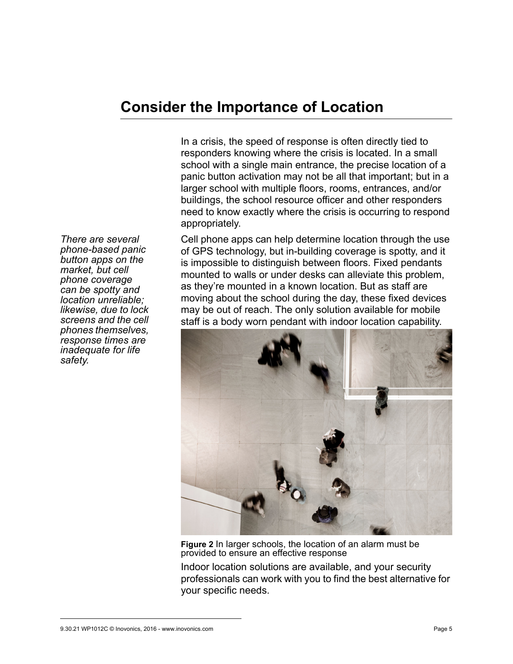## **Consider the Importance of Location**

In a crisis, the speed of response is often directly tied to responders knowing where the crisis is located. In a small school with a single main entrance, the precise location of a panic button activation may not be all that important; but in a larger school with multiple floors, rooms, entrances, and/or buildings, the school resource officer and other responders need to know exactly where the crisis is occurring to respond appropriately.

Cell phone apps can help determine location through the use of GPS technology, but in-building coverage is spotty, and it is impossible to distinguish between floors. Fixed pendants mounted to walls or under desks can alleviate this problem, as they're mounted in a known location. But as staff are moving about the school during the day, these fixed devices may be out of reach. The only solution available for mobile staff is a body worn pendant with indoor location capability.



**Figure 2** In larger schools, the location of an alarm must be provided to ensure an effective response

Indoor location solutions are available, and your security professionals can work with you to find the best alternative for your specific needs.

*There are several phone-based panic button apps on the market, but cell phone coverage can be spotty and location unreliable; likewise, due to lock screens and the cell phones themselves, response times are inadequate for life safety.*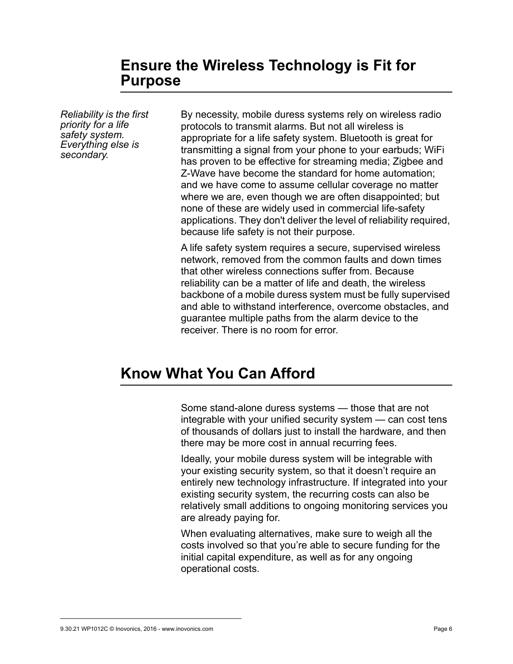### **Ensure the Wireless Technology is Fit for Purpose**

*Reliability is the first priority for a life safety system. Everything else is secondary.*

By necessity, mobile duress systems rely on wireless radio protocols to transmit alarms. But not all wireless is appropriate for a life safety system. Bluetooth is great for transmitting a signal from your phone to your earbuds; WiFi has proven to be effective for streaming media; Zigbee and Z-Wave have become the standard for home automation; and we have come to assume cellular coverage no matter where we are, even though we are often disappointed; but none of these are widely used in commercial life-safety applications. They don't deliver the level of reliability required, because life safety is not their purpose.

A life safety system requires a secure, supervised wireless network, removed from the common faults and down times that other wireless connections suffer from. Because reliability can be a matter of life and death, the wireless backbone of a mobile duress system must be fully supervised and able to withstand interference, overcome obstacles, and guarantee multiple paths from the alarm device to the receiver. There is no room for error.

## **Know What You Can Afford**

Some stand-alone duress systems — those that are not integrable with your unified security system — can cost tens of thousands of dollars just to install the hardware, and then there may be more cost in annual recurring fees.

Ideally, your mobile duress system will be integrable with your existing security system, so that it doesn't require an entirely new technology infrastructure. If integrated into your existing security system, the recurring costs can also be relatively small additions to ongoing monitoring services you are already paying for.

When evaluating alternatives, make sure to weigh all the costs involved so that you're able to secure funding for the initial capital expenditure, as well as for any ongoing operational costs.